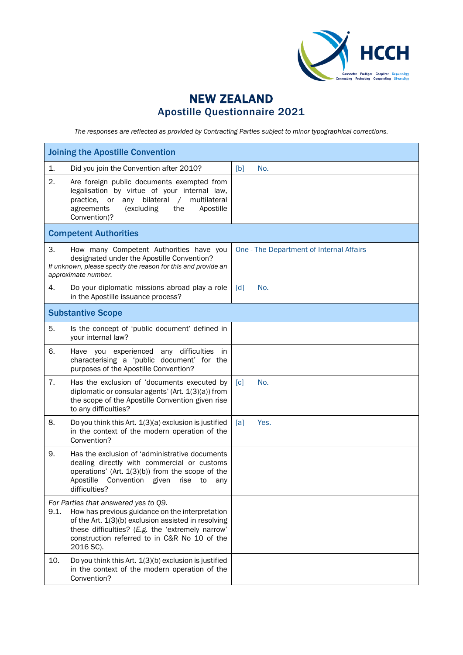

## NEW ZEALAND Apostille Questionnaire 2021

*The responses are reflected as provided by Contracting Parties subject to minor typographical corrections.*

| <b>Joining the Apostille Convention</b> |                                                                                                                                                                                                                                                                 |                          |                                          |  |
|-----------------------------------------|-----------------------------------------------------------------------------------------------------------------------------------------------------------------------------------------------------------------------------------------------------------------|--------------------------|------------------------------------------|--|
| 1.                                      | Did you join the Convention after 2010?                                                                                                                                                                                                                         | No.<br>[b]               |                                          |  |
| 2.                                      | Are foreign public documents exempted from<br>legalisation by virtue of your internal law,<br>practice, or any bilateral<br>multilateral<br>$\sqrt{2}$<br>(excluding<br>the<br>Apostille<br>agreements<br>Convention)?                                          |                          |                                          |  |
|                                         | <b>Competent Authorities</b>                                                                                                                                                                                                                                    |                          |                                          |  |
| 3.                                      | How many Competent Authorities have you<br>designated under the Apostille Convention?<br>If unknown, please specify the reason for this and provide an<br>approximate number.                                                                                   |                          | One - The Department of Internal Affairs |  |
| 4.                                      | Do your diplomatic missions abroad play a role<br>in the Apostille issuance process?                                                                                                                                                                            | No.<br>$\lceil d \rceil$ |                                          |  |
|                                         | <b>Substantive Scope</b>                                                                                                                                                                                                                                        |                          |                                          |  |
| 5.                                      | Is the concept of 'public document' defined in<br>your internal law?                                                                                                                                                                                            |                          |                                          |  |
| 6.                                      | Have you experienced any difficulties in<br>characterising a 'public document' for the<br>purposes of the Apostille Convention?                                                                                                                                 |                          |                                          |  |
| 7.                                      | Has the exclusion of 'documents executed by<br>diplomatic or consular agents' (Art. 1(3)(a)) from<br>the scope of the Apostille Convention given rise<br>to any difficulties?                                                                                   | [c]<br>No.               |                                          |  |
| 8.                                      | Do you think this Art. 1(3)(a) exclusion is justified<br>in the context of the modern operation of the<br>Convention?                                                                                                                                           | [a]                      | Yes.                                     |  |
| 9.                                      | Has the exclusion of 'administrative documents<br>dealing directly with commercial or customs<br>operations' (Art. 1(3)(b)) from the scope of the<br>Apostille<br>Convention given<br>rise<br>to<br>any<br>difficulties?                                        |                          |                                          |  |
| 9.1.                                    | For Parties that answered yes to Q9.<br>How has previous guidance on the interpretation<br>of the Art. 1(3)(b) exclusion assisted in resolving<br>these difficulties? (E.g. the 'extremely narrow'<br>construction referred to in C&R No 10 of the<br>2016 SC). |                          |                                          |  |
| 10.                                     | Do you think this Art. 1(3)(b) exclusion is justified<br>in the context of the modern operation of the<br>Convention?                                                                                                                                           |                          |                                          |  |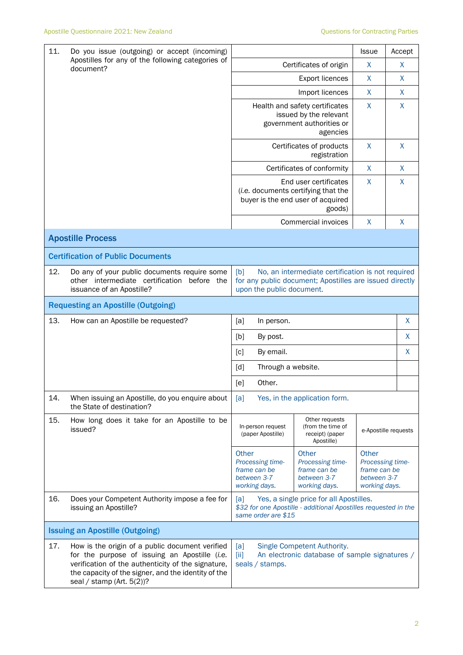| 11.                                    | Do you issue (outgoing) or accept (incoming)<br>Apostilles for any of the following categories of<br>document?                                                                                                                             |                                                                                                                                                  | <b>Issue</b>                                                              | Accept                                                                    |                    |
|----------------------------------------|--------------------------------------------------------------------------------------------------------------------------------------------------------------------------------------------------------------------------------------------|--------------------------------------------------------------------------------------------------------------------------------------------------|---------------------------------------------------------------------------|---------------------------------------------------------------------------|--------------------|
|                                        |                                                                                                                                                                                                                                            | Certificates of origin                                                                                                                           | X                                                                         | X                                                                         |                    |
|                                        |                                                                                                                                                                                                                                            |                                                                                                                                                  | X                                                                         | X                                                                         |                    |
|                                        |                                                                                                                                                                                                                                            |                                                                                                                                                  | Import licences                                                           | X                                                                         | X                  |
|                                        |                                                                                                                                                                                                                                            | Health and safety certificates<br>issued by the relevant<br>government authorities or                                                            | X                                                                         | X                                                                         |                    |
|                                        |                                                                                                                                                                                                                                            |                                                                                                                                                  | Certificates of products<br>registration                                  | $\mathsf{X}$                                                              | X                  |
|                                        |                                                                                                                                                                                                                                            |                                                                                                                                                  | Certificates of conformity                                                | X                                                                         | $\mathsf{X}$       |
|                                        |                                                                                                                                                                                                                                            | End user certificates<br>(i.e. documents certifying that the<br>buyer is the end user of acquired                                                | $\mathsf{X}$                                                              | X                                                                         |                    |
|                                        |                                                                                                                                                                                                                                            |                                                                                                                                                  | Commercial invoices                                                       | $\mathsf{X}$                                                              | $\pmb{\mathsf{X}}$ |
|                                        | <b>Apostille Process</b>                                                                                                                                                                                                                   |                                                                                                                                                  |                                                                           |                                                                           |                    |
|                                        | <b>Certification of Public Documents</b>                                                                                                                                                                                                   |                                                                                                                                                  |                                                                           |                                                                           |                    |
| 12.                                    | Do any of your public documents require some<br>other intermediate certification<br>before the<br>issuance of an Apostille?                                                                                                                | No, an intermediate certification is not required<br>[b]<br>for any public document; Apostilles are issued directly<br>upon the public document. |                                                                           |                                                                           |                    |
|                                        | <b>Requesting an Apostille (Outgoing)</b>                                                                                                                                                                                                  |                                                                                                                                                  |                                                                           |                                                                           |                    |
| 13.                                    | How can an Apostille be requested?                                                                                                                                                                                                         | [a]<br>In person.                                                                                                                                |                                                                           |                                                                           | X                  |
|                                        |                                                                                                                                                                                                                                            | [b]<br>By post.                                                                                                                                  |                                                                           |                                                                           | X                  |
|                                        |                                                                                                                                                                                                                                            | [c]<br>By email.                                                                                                                                 |                                                                           |                                                                           | X                  |
|                                        |                                                                                                                                                                                                                                            | Through a website.<br>[d]                                                                                                                        |                                                                           |                                                                           |                    |
|                                        |                                                                                                                                                                                                                                            | Other.<br>[e]                                                                                                                                    |                                                                           |                                                                           |                    |
| 14.                                    | When issuing an Apostille, do you enquire about<br>the State of destination?                                                                                                                                                               | [a]                                                                                                                                              | Yes, in the application form.                                             |                                                                           |                    |
| 15.                                    | How long does it take for an Apostille to be<br>issued?                                                                                                                                                                                    | In-person request<br>(paper Apostille)                                                                                                           | Other requests<br>(from the time of<br>receipt) (paper<br>Apostille)      | e-Apostille requests                                                      |                    |
|                                        |                                                                                                                                                                                                                                            | Other<br>Processing time-<br>frame can be<br>between 3-7<br>working days.                                                                        | Other<br>Processing time-<br>frame can be<br>between 3-7<br>working days. | Other<br>Processing time-<br>frame can be<br>between 3-7<br>working days. |                    |
| 16.                                    | Does your Competent Authority impose a fee for<br>issuing an Apostille?                                                                                                                                                                    | Yes, a single price for all Apostilles.<br>[a]<br>\$32 for one Apostille - additional Apostilles requested in the<br>same order are \$15         |                                                                           |                                                                           |                    |
| <b>Issuing an Apostille (Outgoing)</b> |                                                                                                                                                                                                                                            |                                                                                                                                                  |                                                                           |                                                                           |                    |
| 17.                                    | How is the origin of a public document verified<br>for the purpose of issuing an Apostille (i.e.<br>verification of the authenticity of the signature,<br>the capacity of the signer, and the identity of the<br>seal / stamp (Art. 5(2))? | [a]<br>Single Competent Authority.<br>An electronic database of sample signatures /<br>[iii]<br>seals / stamps.                                  |                                                                           |                                                                           |                    |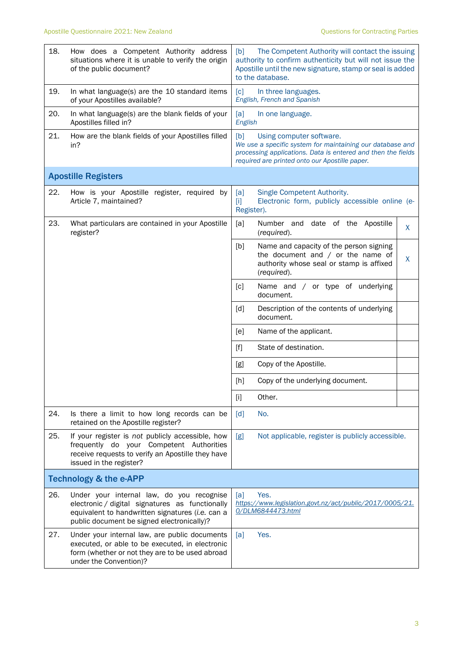| 18.                               | How does a Competent Authority address<br>situations where it is unable to verify the origin<br>of the public document?                                                                        | The Competent Authority will contact the issuing<br>[b]<br>authority to confirm authenticity but will not issue the<br>Apostille until the new signature, stamp or seal is added<br>to the database.           |  |  |
|-----------------------------------|------------------------------------------------------------------------------------------------------------------------------------------------------------------------------------------------|----------------------------------------------------------------------------------------------------------------------------------------------------------------------------------------------------------------|--|--|
| 19.                               | In what language(s) are the 10 standard items<br>of your Apostilles available?                                                                                                                 | [c]<br>In three languages.<br>English, French and Spanish                                                                                                                                                      |  |  |
| 20.                               | In what language(s) are the blank fields of your<br>Apostilles filled in?                                                                                                                      | [a]<br>In one language.<br>English                                                                                                                                                                             |  |  |
| 21.                               | How are the blank fields of your Apostilles filled<br>in?                                                                                                                                      | [b]<br>Using computer software.<br>We use a specific system for maintaining our database and<br>processing applications. Data is entered and then the fields<br>required are printed onto our Apostille paper. |  |  |
|                                   | <b>Apostille Registers</b>                                                                                                                                                                     |                                                                                                                                                                                                                |  |  |
| 22.                               | How is your Apostille register, required by<br>Article 7, maintained?                                                                                                                          | Single Competent Authority.<br>[a]<br>Electronic form, publicly accessible online (e-<br>$[1]$<br>Register).                                                                                                   |  |  |
| 23.                               | What particulars are contained in your Apostille<br>register?                                                                                                                                  | Number and date of the Apostille<br>[a]<br>$\sf X$<br>(required).                                                                                                                                              |  |  |
|                                   |                                                                                                                                                                                                | [b]<br>Name and capacity of the person signing<br>the document and $/$ or the name of<br>X<br>authority whose seal or stamp is affixed<br>(required).                                                          |  |  |
|                                   |                                                                                                                                                                                                | [c]<br>Name and / or type of underlying<br>document.                                                                                                                                                           |  |  |
|                                   |                                                                                                                                                                                                | Description of the contents of underlying<br>$\lceil d \rceil$<br>document.                                                                                                                                    |  |  |
|                                   |                                                                                                                                                                                                | [e]<br>Name of the applicant.                                                                                                                                                                                  |  |  |
|                                   |                                                                                                                                                                                                | State of destination.<br>$[f]$                                                                                                                                                                                 |  |  |
|                                   |                                                                                                                                                                                                | [g]<br>Copy of the Apostille.                                                                                                                                                                                  |  |  |
|                                   |                                                                                                                                                                                                | Copy of the underlying document.<br>$[h]$                                                                                                                                                                      |  |  |
|                                   |                                                                                                                                                                                                | Other.<br>$[1]$                                                                                                                                                                                                |  |  |
| 24.                               | Is there a limit to how long records can be<br>retained on the Apostille register?                                                                                                             | [d]<br>No.                                                                                                                                                                                                     |  |  |
| 25.                               | If your register is not publicly accessible, how<br>frequently do your Competent Authorities<br>receive requests to verify an Apostille they have<br>issued in the register?                   | Not applicable, register is publicly accessible.<br>[g]                                                                                                                                                        |  |  |
| <b>Technology &amp; the e-APP</b> |                                                                                                                                                                                                |                                                                                                                                                                                                                |  |  |
| 26.                               | Under your internal law, do you recognise<br>electronic / digital signatures as functionally<br>equivalent to handwritten signatures (i.e. can a<br>public document be signed electronically)? | Yes.<br>[a]<br>https://www.legislation.govt.nz/act/public/2017/0005/21.<br>0/DLM6844473.html                                                                                                                   |  |  |
| 27.                               | Under your internal law, are public documents<br>executed, or able to be executed, in electronic<br>form (whether or not they are to be used abroad<br>under the Convention)?                  | Yes.<br>[a]                                                                                                                                                                                                    |  |  |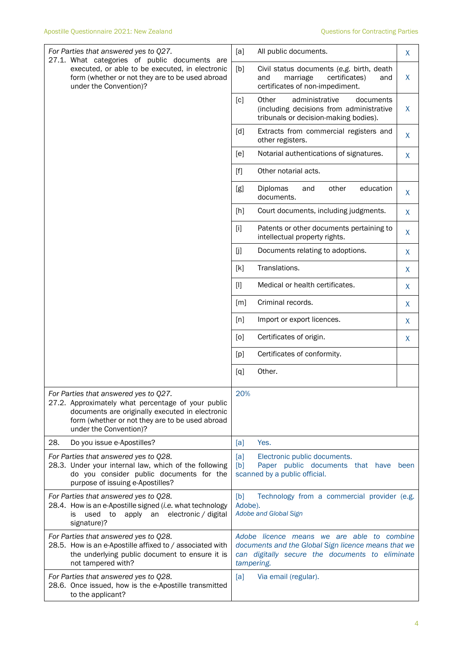| For Parties that answered yes to Q27.<br>27.1. What categories of public documents are                                                                                                                                      | [a]<br>All public documents.<br>X                                                                                                                                  |  |  |
|-----------------------------------------------------------------------------------------------------------------------------------------------------------------------------------------------------------------------------|--------------------------------------------------------------------------------------------------------------------------------------------------------------------|--|--|
| executed, or able to be executed, in electronic<br>form (whether or not they are to be used abroad<br>under the Convention)?                                                                                                | [b]<br>Civil status documents (e.g. birth, death<br>marriage<br>certificates)<br>X<br>and<br>and<br>certificates of non-impediment.                                |  |  |
|                                                                                                                                                                                                                             | [c]<br>Other<br>administrative<br>documents<br>(including decisions from administrative<br>$\sf X$<br>tribunals or decision-making bodies).                        |  |  |
|                                                                                                                                                                                                                             | [d]<br>Extracts from commercial registers and<br>$\sf X$<br>other registers.                                                                                       |  |  |
|                                                                                                                                                                                                                             | Notarial authentications of signatures.<br>[e]<br>$\sf X$                                                                                                          |  |  |
|                                                                                                                                                                                                                             | Other notarial acts.<br>$[f]$                                                                                                                                      |  |  |
|                                                                                                                                                                                                                             | education<br>Diplomas<br>other<br>[g]<br>and<br>X<br>documents.                                                                                                    |  |  |
|                                                                                                                                                                                                                             | [h]<br>Court documents, including judgments.<br>$\sf X$                                                                                                            |  |  |
|                                                                                                                                                                                                                             | Patents or other documents pertaining to<br>[i]<br>X<br>intellectual property rights.                                                                              |  |  |
|                                                                                                                                                                                                                             | [j]<br>Documents relating to adoptions.<br>X                                                                                                                       |  |  |
|                                                                                                                                                                                                                             | Translations.<br>[k]<br>X                                                                                                                                          |  |  |
|                                                                                                                                                                                                                             | $[1]$<br>Medical or health certificates.<br>$\sf X$                                                                                                                |  |  |
|                                                                                                                                                                                                                             | Criminal records.<br>[m]<br>X                                                                                                                                      |  |  |
|                                                                                                                                                                                                                             | Import or export licences.<br>[n]<br>X                                                                                                                             |  |  |
|                                                                                                                                                                                                                             | Certificates of origin.<br>[0]<br>$\sf X$                                                                                                                          |  |  |
|                                                                                                                                                                                                                             | Certificates of conformity.<br>[p]                                                                                                                                 |  |  |
|                                                                                                                                                                                                                             | Other.<br>[q]                                                                                                                                                      |  |  |
| For Parties that answered yes to Q27.<br>27.2. Approximately what percentage of your public<br>documents are originally executed in electronic<br>form (whether or not they are to be used abroad<br>under the Convention)? | 20%                                                                                                                                                                |  |  |
| 28.<br>Do you issue e-Apostilles?                                                                                                                                                                                           | Yes.<br>[a]                                                                                                                                                        |  |  |
| For Parties that answered yes to Q28.<br>28.3. Under your internal law, which of the following<br>do you consider public documents for the<br>purpose of issuing e-Apostilles?                                              | [a]<br>Electronic public documents.<br>Paper public documents that have<br>[b]<br>been<br>scanned by a public official.                                            |  |  |
| For Parties that answered yes to Q28.<br>28.4. How is an e-Apostille signed (i.e. what technology<br>electronic / digital<br>used<br>to<br>apply an<br>is<br>signature)?                                                    | Technology from a commercial provider (e.g.<br>[b]<br>Adobe).<br>Adobe and Global Sign                                                                             |  |  |
| For Parties that answered yes to Q28.<br>28.5. How is an e-Apostille affixed to / associated with<br>the underlying public document to ensure it is<br>not tampered with?                                                   | Adobe licence means we are able to combine<br>documents and the Global Sign licence means that we<br>can digitally secure the documents to eliminate<br>tampering. |  |  |
| For Parties that answered yes to Q28.<br>28.6. Once issued, how is the e-Apostille transmitted<br>to the applicant?                                                                                                         | [a]<br>Via email (regular).                                                                                                                                        |  |  |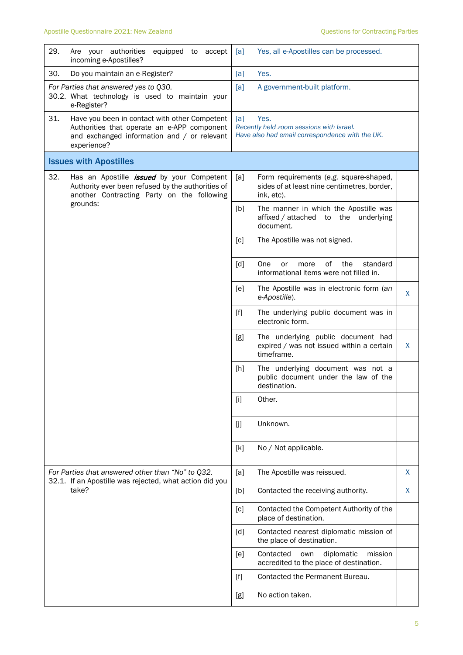| 29. | Are your authorities<br>equipped to accept<br>incoming e-Apostilles?                                                                                            | [a]                                                                                                        | Yes, all e-Apostilles can be processed.                                                             |   |
|-----|-----------------------------------------------------------------------------------------------------------------------------------------------------------------|------------------------------------------------------------------------------------------------------------|-----------------------------------------------------------------------------------------------------|---|
| 30. | Do you maintain an e-Register?                                                                                                                                  | [a]                                                                                                        | Yes.                                                                                                |   |
|     | For Parties that answered yes to Q30.<br>30.2. What technology is used to maintain your<br>e-Register?                                                          | [a]                                                                                                        | A government-built platform.                                                                        |   |
| 31. | Have you been in contact with other Competent<br>Authorities that operate an e-APP component<br>and exchanged information and / or relevant<br>experience?      | Yes.<br>[a]<br>Recently held zoom sessions with Israel.<br>Have also had email correspondence with the UK. |                                                                                                     |   |
|     | <b>Issues with Apostilles</b>                                                                                                                                   |                                                                                                            |                                                                                                     |   |
| 32. | Has an Apostille <i>issued</i> by your Competent<br>Authority ever been refused by the authorities of<br>another Contracting Party on the following<br>grounds: | [a]                                                                                                        | Form requirements (e.g. square-shaped,<br>sides of at least nine centimetres, border,<br>ink, etc). |   |
|     |                                                                                                                                                                 | [b]                                                                                                        | The manner in which the Apostille was<br>affixed / attached<br>the<br>to<br>underlying<br>document. |   |
|     |                                                                                                                                                                 | [c]                                                                                                        | The Apostille was not signed.                                                                       |   |
|     |                                                                                                                                                                 | [d]                                                                                                        | of<br>standard<br><b>One</b><br>the<br>or<br>more<br>informational items were not filled in.        |   |
|     |                                                                                                                                                                 | [e]                                                                                                        | The Apostille was in electronic form (an<br>e-Apostille).                                           | X |
|     |                                                                                                                                                                 | $[f]$                                                                                                      | The underlying public document was in<br>electronic form.                                           |   |
|     |                                                                                                                                                                 | [g]                                                                                                        | The underlying public document had<br>expired / was not issued within a certain<br>timeframe.       | X |
|     |                                                                                                                                                                 | [h]                                                                                                        | The underlying document was not a<br>public document under the law of the<br>destination.           |   |
|     |                                                                                                                                                                 | [i]                                                                                                        | Other.                                                                                              |   |
|     |                                                                                                                                                                 | [j]                                                                                                        | Unknown.                                                                                            |   |
|     |                                                                                                                                                                 | [k]                                                                                                        | No / Not applicable.                                                                                |   |
|     | For Parties that answered other than "No" to Q32.<br>32.1. If an Apostille was rejected, what action did you                                                    | [a]                                                                                                        | The Apostille was reissued.                                                                         | X |
|     | take?                                                                                                                                                           | [b]                                                                                                        | Contacted the receiving authority.                                                                  | X |
|     |                                                                                                                                                                 | [c]                                                                                                        | Contacted the Competent Authority of the<br>place of destination.                                   |   |
|     |                                                                                                                                                                 | $\lceil d \rceil$                                                                                          | Contacted nearest diplomatic mission of<br>the place of destination.                                |   |
|     |                                                                                                                                                                 | [e]                                                                                                        | diplomatic<br>Contacted<br>own<br>mission<br>accredited to the place of destination.                |   |
|     |                                                                                                                                                                 | $[f]$                                                                                                      | Contacted the Permanent Bureau.                                                                     |   |
|     |                                                                                                                                                                 | [g]                                                                                                        | No action taken.                                                                                    |   |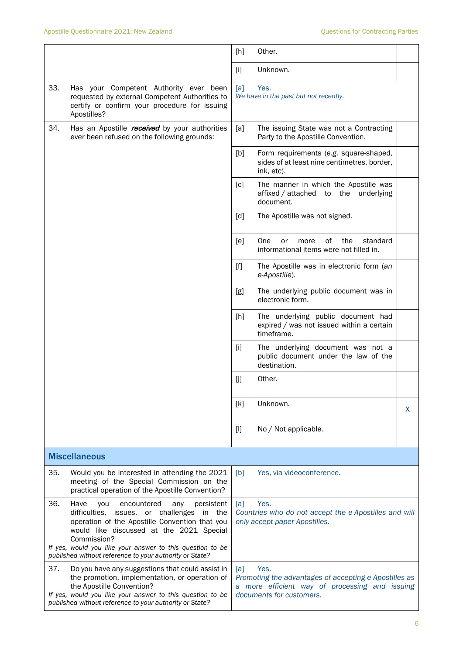|                      |                                                                                                                                                                                                                                                                            | [h]                                                                                                                                                | Other.                                                                                              |    |
|----------------------|----------------------------------------------------------------------------------------------------------------------------------------------------------------------------------------------------------------------------------------------------------------------------|----------------------------------------------------------------------------------------------------------------------------------------------------|-----------------------------------------------------------------------------------------------------|----|
|                      |                                                                                                                                                                                                                                                                            | $[1]$                                                                                                                                              | Unknown.                                                                                            |    |
| 33.                  | Has your Competent Authority ever been<br>requested by external Competent Authorities to<br>certify or confirm your procedure for issuing<br>Apostilles?                                                                                                                   | [a]                                                                                                                                                | Yes.<br>We have in the past but not recently.                                                       |    |
| 34.                  | Has an Apostille <i>received</i> by your authorities<br>ever been refused on the following grounds:                                                                                                                                                                        | [a]                                                                                                                                                | The issuing State was not a Contracting<br>Party to the Apostille Convention.                       |    |
|                      |                                                                                                                                                                                                                                                                            | [b]                                                                                                                                                | Form requirements (e.g. square-shaped,<br>sides of at least nine centimetres, border,<br>ink, etc). |    |
|                      |                                                                                                                                                                                                                                                                            | [c]                                                                                                                                                | The manner in which the Apostille was<br>affixed / attached to the<br>underlying<br>document.       |    |
|                      |                                                                                                                                                                                                                                                                            | $\lceil d \rceil$                                                                                                                                  | The Apostille was not signed.                                                                       |    |
|                      |                                                                                                                                                                                                                                                                            | [e]                                                                                                                                                | One<br>οf<br>the<br>standard<br>or<br>more<br>informational items were not filled in.               |    |
|                      |                                                                                                                                                                                                                                                                            | $[f]$                                                                                                                                              | The Apostille was in electronic form (an<br>e-Apostille).                                           |    |
|                      |                                                                                                                                                                                                                                                                            | [g]                                                                                                                                                | The underlying public document was in<br>electronic form.                                           |    |
|                      |                                                                                                                                                                                                                                                                            | [h]                                                                                                                                                | The underlying public document had<br>expired / was not issued within a certain<br>timeframe.       |    |
|                      |                                                                                                                                                                                                                                                                            | $[1]$                                                                                                                                              | The underlying document was not a<br>public document under the law of the<br>destination.           |    |
|                      |                                                                                                                                                                                                                                                                            | [j]                                                                                                                                                | Other.                                                                                              |    |
|                      |                                                                                                                                                                                                                                                                            | [k]                                                                                                                                                | Unknown.                                                                                            | X. |
|                      |                                                                                                                                                                                                                                                                            | $[]$                                                                                                                                               | No / Not applicable.                                                                                |    |
| <b>Miscellaneous</b> |                                                                                                                                                                                                                                                                            |                                                                                                                                                    |                                                                                                     |    |
| 35.                  | Would you be interested in attending the 2021<br>meeting of the Special Commission on the<br>practical operation of the Apostille Convention?                                                                                                                              | [b]                                                                                                                                                | Yes, via videoconference.                                                                           |    |
| 36.                  | Have<br>encountered<br>persistent<br>you<br>any<br>difficulties, issues, or challenges<br>in the<br>operation of the Apostille Convention that you<br>would like discussed at the 2021 Special<br>Commission?<br>If yes, would you like your answer to this question to be | Yes.<br>[a]<br>Countries who do not accept the e-Apostilles and will<br>only accept paper Apostilles.                                              |                                                                                                     |    |
| 37.                  | published without reference to your authority or State?<br>Do you have any suggestions that could assist in                                                                                                                                                                |                                                                                                                                                    |                                                                                                     |    |
|                      | the promotion, implementation, or operation of<br>the Apostille Convention?<br>If yes, would you like your answer to this question to be<br>published without reference to your authority or State?                                                                        | Yes.<br>[a]<br>Promoting the advantages of accepting e-Apostilles as<br>a more efficient way of processing and issuing<br>documents for customers. |                                                                                                     |    |